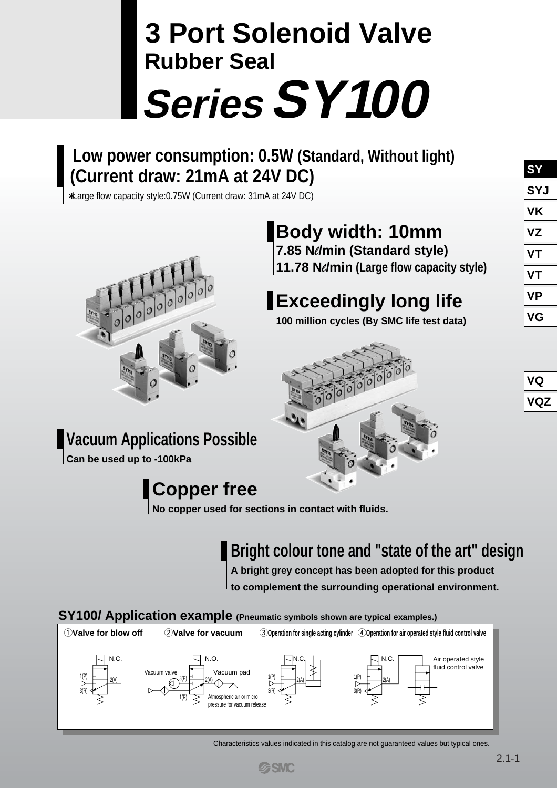# **SeriesSY100 3 Port Solenoid Valve Rubber Seal**

## **Low power consumption: 0.5W (Standard, Without light) (Current draw: 21mA at 24V DC)**

∗Large flow capacity style:0.75W (Current draw: 31mA at 24V DC)



## **Body width: 10mm 7.85 N***l***/min (Standard style)**

**11.78 N***l***/min (Large flow capacity style)**

## **Exceedingly long life**

**100 million cycles (By SMC life test data)**



| <b>SY</b>  |
|------------|
| <b>SYJ</b> |
| VK         |
| VZ         |
| VТ         |
| VT         |
| VP         |
| VG         |

## **Vacuum Applications Possible**

**Can be used up to -100kPa**

## **Copper free**

**No copper used for sections in contact with fluids.**

## **Bright colour tone and "state of the art" design**

**A bright grey concept has been adopted for this product to complement the surrounding operational environment.**

## **SY100/ Application example (Pneumatic symbols shown are typical examples.)**



Characteristics values indicated in this catalog are not guaranteed values but typical ones.

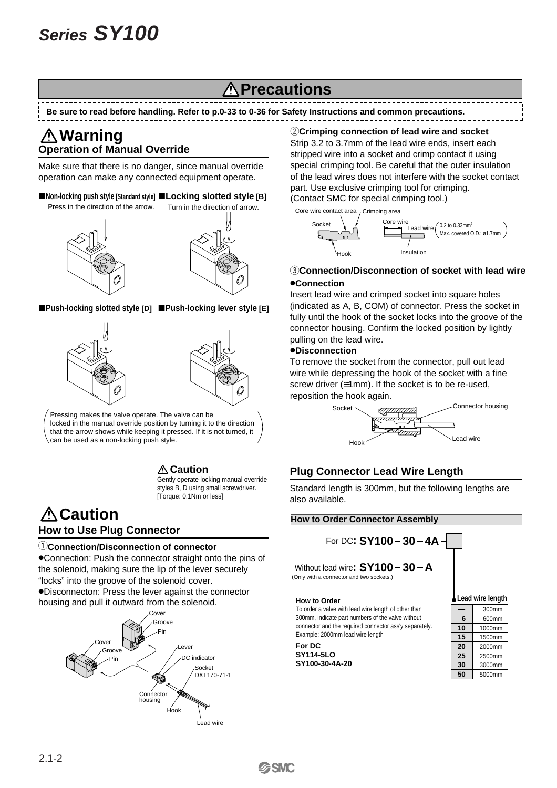## **Precautions**

#### **Be sure to read before handling. Refer to p.0-33 to 0-36 for Safety Instructions and common precautions.**

## **Operation of Manual Override Warning**

Make sure that there is no danger, since manual override operation can make any connected equipment operate.

■ Non-locking push style [Standard style] ■ Locking slotted style [B] Press in the direction of the arrow.





■Push-locking slotted style [D] ■Push-locking lever style [E]





Pressing makes the valve operate. The valve can be locked in the manual override position by turning it to the direction that the arrow shows while keeping it pressed. If it is not turned, it can be used as a non-locking push style.

> Gently operate locking manual override styles B, D using small screwdriver. [Torque: 0.1Nm or less] **A** Caution

## **A** Caution **How to Use Plug Connector**

#### q**Connection/Disconnection of connector**

Connection: Push the connector straight onto the pins of the solenoid, making sure the lip of the lever securely "locks" into the groove of the solenoid cover. Disconnecton: Press the lever against the connector housing and pull it outward from the solenoid.



#### *C***Crimping connection of lead wire and socket**

Strip 3.2 to 3.7mm of the lead wire ends, insert each stripped wire into a socket and crimp contact it using special crimping tool. Be careful that the outer insulation of the lead wires does not interfere with the socket contact part. Use exclusive crimping tool for crimping. (Contact SMC for special crimping tool.)

Core wire contact area , Crimping area



#### **(3) Connection/Disconnection of socket with lead wire Connection**

Insert lead wire and crimped socket into square holes (indicated as A, B, COM) of connector. Press the socket in fully until the hook of the socket locks into the groove of the connector housing. Confirm the locked position by lightly pulling on the lead wire.

#### **Disconnection**

To remove the socket from the connector, pull out lead wire while depressing the hook of the socket with a fine screw driver (≅1mm). If the socket is to be re-used, reposition the hook again.



### **Plug Connector Lead Wire Length**

Standard length is 300mm, but the following lengths are also available.

#### **How to Order Connector Assembly**

For DC**: SY100 30 4A**

Without lead wire:  $SY100 - 30 - A$ (Only with a connector and two sockets.)

#### **How to Order**

To order a valve with lead wire length of other than 300mm, indicate part numbers of the valve without connector and the required connector ass'y separately. Example: 2000mm lead wire length

**For DC SY114-5LO SY100-30-4A-20**



|    | 300mm  |  |
|----|--------|--|
| 6  | 600mm  |  |
| 10 | 1000mm |  |
| 15 | 1500mm |  |
| 20 | 2000mm |  |
| 25 | 2500mm |  |
| 30 | 3000mm |  |
| 50 | 5000mm |  |
|    |        |  |

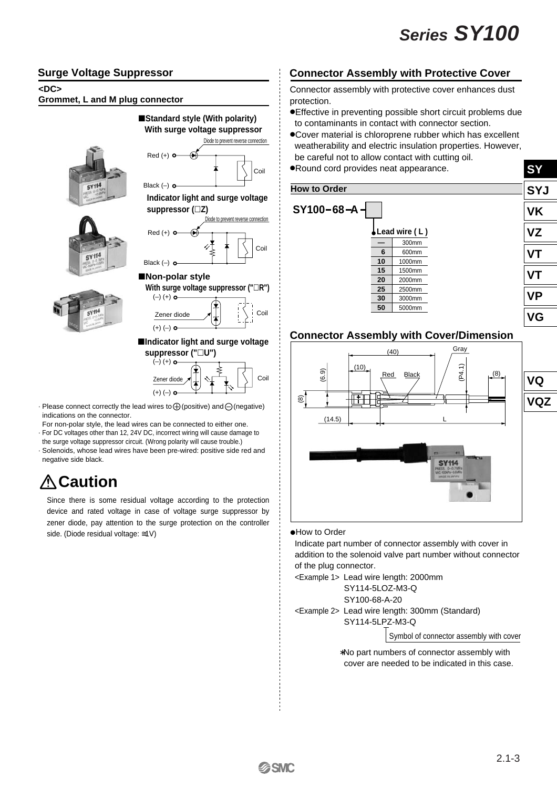### **Surge Voltage Suppressor**

#### **<DC>**

**Grommet, L and M plug connector**



 $SY114$ 



■Standard style (With polarity)

-**Indicator light and surge voltage suppressor ("U")**



- $\cdot$  Please connect correctly the lead wires to  $\bigoplus$  (positive) and  $\bigoplus$  (negative) indications on the connector.
- For non-polar style, the lead wires can be connected to either one. · For DC voltages other than 12, 24V DC, incorrect wiring will cause damage to
- the surge voltage suppressor circuit. (Wrong polarity will cause trouble.)
- · Solenoids, whose lead wires have been pre-wired: positive side red and negative side black.

## **Caution**

Since there is some residual voltage according to the protection device and rated voltage in case of voltage surge suppressor by zener diode, pay attention to the surge protection on the controller side. (Diode residual voltage: ≅1V)

## **Connector Assembly with Protective Cover**

Connector assembly with protective cover enhances dust protection.

- Effective in preventing possible short circuit problems due to contaminants in contact with connector section.
- Cover material is chloroprene rubber which has excellent weatherability and electric insulation properties. However, be careful not to allow contact with cutting oil.
- Round cord provides neat appearance.



### **Connector Assembly with Cover/Dimension**



#### How to Order

 Indicate part number of connector assembly with cover in addition to the solenoid valve part number without connector of the plug connector.

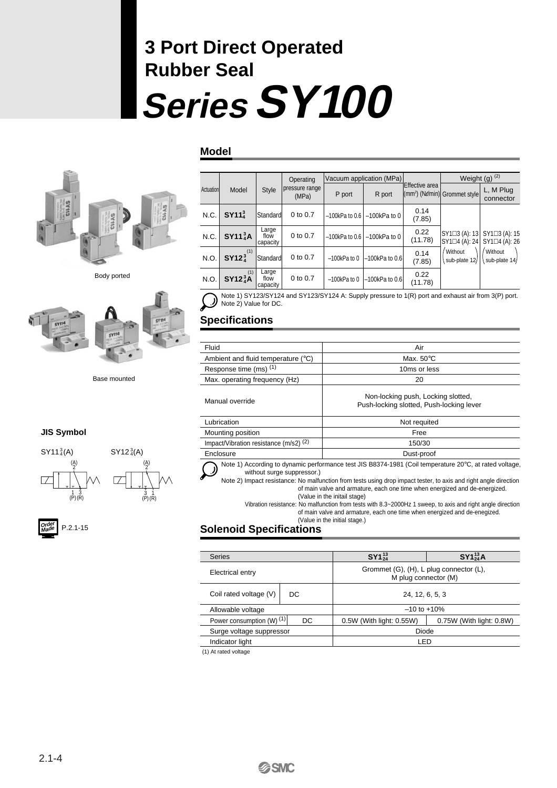# **SeriesSY100 3 Port Direct Operated Rubber Seal**

#### **Model**



Body ported



Base mounted

#### **JIS Symbol**





|  | $\binom{A}{2}$        |
|--|-----------------------|
|  |                       |
|  | $\frac{3}{(P)}$<br>(I |

P.2.1-15 **Order Made**

|           |                                       |                           | Operating               |                   | Vacuum application (MPa) |                 |                                                    | Weight (g) $(2)$               |
|-----------|---------------------------------------|---------------------------|-------------------------|-------------------|--------------------------|-----------------|----------------------------------------------------|--------------------------------|
| Actuation | Model                                 | <b>Style</b>              | pressure range<br>(MPa) | P port            | R port                   | Effective area  | (mm <sup>2</sup> ) (Ne/min) Grommet style          | L, M Plug<br>connector         |
| N.C.      | SY11 <sub>4</sub> <sup>3</sup>        | Standard                  | 0 to 0.7                | $-100$ kPa to 0.6 | $-100$ kPa to 0          | 0.14<br>(7.85)  |                                                    |                                |
| N.C.      | SY11 <sub>4</sub> <sup>3</sup> A      | Large<br>flow<br>capacity | 0 to 0.7                | $-100$ kPa to 0.6 | $-100$ kPa to 0          | 0.22<br>(11.78) | $SY1 \square 3 (A): 13$<br>$SY1 \square 4 (A): 24$ | SY1□3 (A): 15<br>SY1□4 (A): 26 |
| N.O.      | (1)<br>SY12 <sub>4</sub> <sup>3</sup> | Standard                  | 0 to 0.7                | $-100$ kPa to 0   | $-100$ kPa to 0.6        | 0.14<br>(7.85)  | Without<br>sub-plate 12/                           | Without<br>sub-plate 14/       |
| N.O.      | $SY12^{(1)}_4A$                       | Large<br>flow<br>capacity | 0 to 0.7                | $-100$ kPa to 0   | $-100$ kPa to $0.6$      | 0.22<br>(11.78) |                                                    |                                |



| Note 2) Value for DC.                                                                               |
|-----------------------------------------------------------------------------------------------------|
| Note 1) SY123/SY124 and SY123/SY124 A: Supply pressure to 1(R) port and exhaust air from 3(P) port. |

## **Specifications**

| Fluid                                                                                                                                                                                                                    | Air                                                                                                                                                                                                                                                                                                                                      |  |  |
|--------------------------------------------------------------------------------------------------------------------------------------------------------------------------------------------------------------------------|------------------------------------------------------------------------------------------------------------------------------------------------------------------------------------------------------------------------------------------------------------------------------------------------------------------------------------------|--|--|
| Ambient and fluid temperature (°C)                                                                                                                                                                                       | Max. $50^{\circ}$ C                                                                                                                                                                                                                                                                                                                      |  |  |
| Response time (ms) (1)                                                                                                                                                                                                   | 10ms or less                                                                                                                                                                                                                                                                                                                             |  |  |
| Max. operating frequency (Hz)                                                                                                                                                                                            | 20                                                                                                                                                                                                                                                                                                                                       |  |  |
| Manual override                                                                                                                                                                                                          | Non-locking push, Locking slotted,<br>Push-locking slotted, Push-locking lever                                                                                                                                                                                                                                                           |  |  |
| Lubrication                                                                                                                                                                                                              | Not requited                                                                                                                                                                                                                                                                                                                             |  |  |
| Mounting position                                                                                                                                                                                                        | Free                                                                                                                                                                                                                                                                                                                                     |  |  |
| Impact/Vibration resistance (m/s2) <sup>(2)</sup>                                                                                                                                                                        | 150/30                                                                                                                                                                                                                                                                                                                                   |  |  |
| Enclosure                                                                                                                                                                                                                | Dust-proof                                                                                                                                                                                                                                                                                                                               |  |  |
| without surge suppressor.)                                                                                                                                                                                               | Note 1) According to dynamic performance test JIS B8374-1981 (Coil temperature 20°C, at rated voltage,<br>Note 2) Impact resistance: No malfunction from tests using drop impact tester, to axis and right angle direction<br>of main valve and armature, each one time when energized and de-energized.<br>(Value in the initail stage) |  |  |
| Vibration resistance: No malfunction from tests with 8.3~2000Hz 1 sweep, to axis and right angle direction<br>of main valve and armature, each one time when energized and de-enegized.<br>(Value in the initial stage.) |                                                                                                                                                                                                                                                                                                                                          |  |  |

## **Solenoid Specifications**

| <b>Series</b>                   |    | $SY1^{13}_{24}$                                                 | $SY1_{24}^{13}A$         |  |
|---------------------------------|----|-----------------------------------------------------------------|--------------------------|--|
| Electrical entry                |    | Grommet (G), (H), L plug connector (L),<br>M plug connector (M) |                          |  |
| Coil rated voltage (V)          | DC | 24, 12, 6, 5, 3                                                 |                          |  |
| Allowable voltage               |    | $-10$ to $+10\%$                                                |                          |  |
| Power consumption (W) (1)<br>DC |    | 0.5W (With light: 0.55W)                                        | 0.75W (With light: 0.8W) |  |
| Surge voltage suppressor        |    | Diode                                                           |                          |  |
| Indicator light                 |    | LED                                                             |                          |  |
| (1) At rated voltage            |    |                                                                 |                          |  |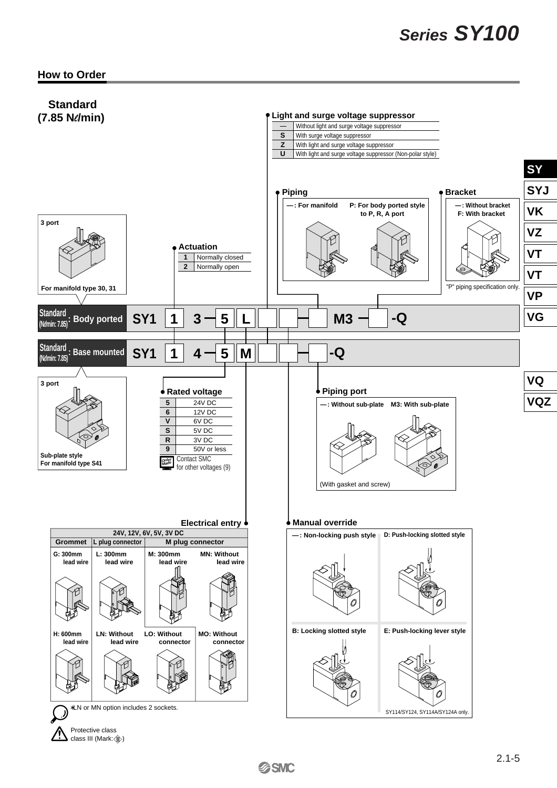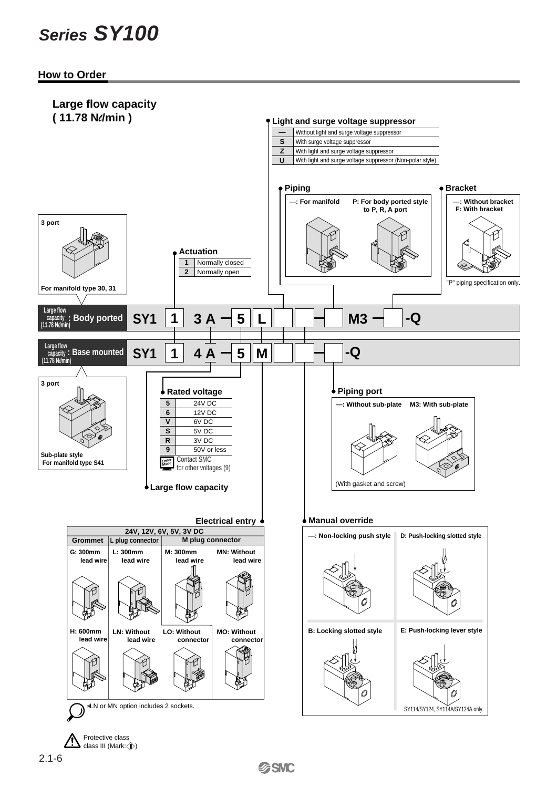**How to Order**

![](_page_5_Figure_2.jpeg)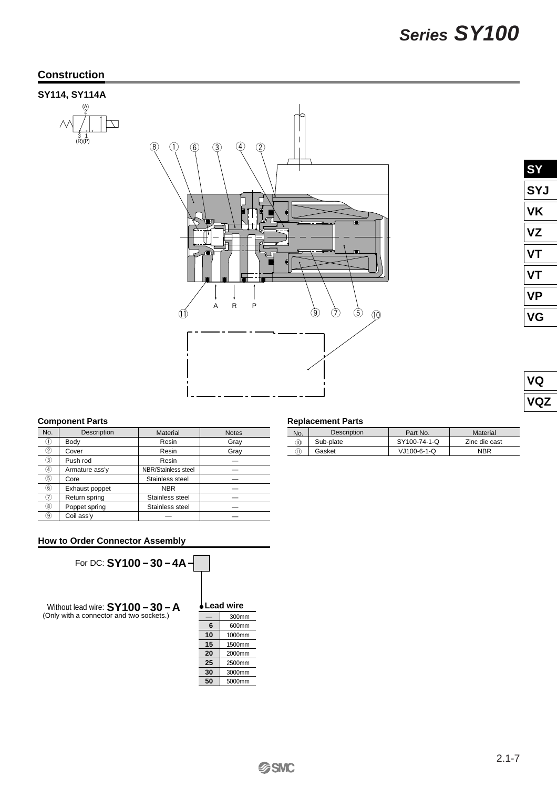## **Construction**

### **SY114, SY114A**

![](_page_6_Figure_3.jpeg)

![](_page_6_Figure_4.jpeg)

| <b>SY</b> |
|-----------|
| SYJ       |
| VK        |
| VZ        |
| VТ        |
| ИŤ        |
| VP        |
| VG        |

| J<br>C |
|--------|
| Г<br>I |

#### **Component Parts**

| No.               | Description    | Material            | <b>Notes</b> |
|-------------------|----------------|---------------------|--------------|
| 〔1〕               | Body           | Resin               | Gray         |
| $\circled{2}$     | Cover          | Resin               | Gray         |
| 3)                | Push rod       | Resin               |              |
| $\left( 4\right)$ | Armature ass'y | NBR/Stainless steel |              |
| 5)                | Core           | Stainless steel     |              |
| $\epsilon$        | Exhaust poppet | <b>NBR</b>          |              |
| 7)                | Return spring  | Stainless steel     |              |
| $\left( 8\right)$ | Poppet spring  | Stainless steel     |              |
| $\left(9\right)$  | Coil ass'y     |                     |              |

#### **How to Order Connector Assembly**

![](_page_6_Figure_10.jpeg)

#### **Replacement Parts**

| No. | Description | Part No.      | Material      |
|-----|-------------|---------------|---------------|
| 10  | Sub-plate   | SY100-74-1-Q  | Zinc die cast |
| 11) | Gasket      | $VJ100-6-1-C$ | <b>NBR</b>    |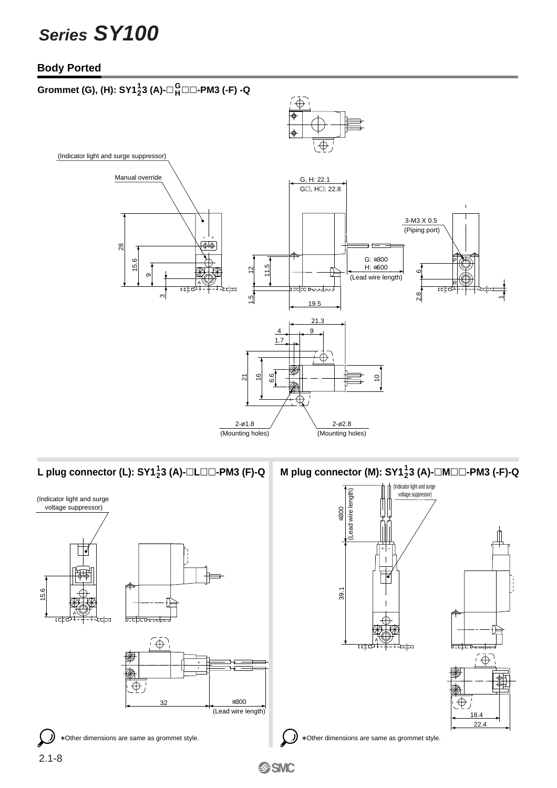### **Body Ported**

![](_page_7_Figure_2.jpeg)

## **L** plug connector (L): SY1<sup>1</sup><sub>2</sub>3 (A)-□L□□-PM3 (F)-Q

![](_page_7_Figure_4.jpeg)

 $^{1}_{2}$ 3 (A)-□L□□-PM3 (F)-Q  $\vert$  M plug connector (M): SY1 $^{1}_{2}$ 3 (A)-□M□□-PM3 (-F)-Q

![](_page_7_Figure_6.jpeg)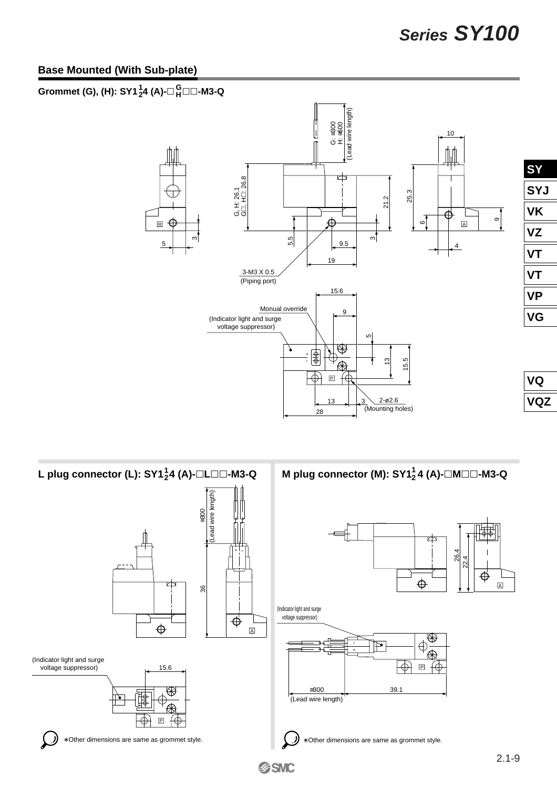### **Base Mounted (With Sub-plate)**

#### **Grommet (G), (H): SY1**  $^{1}_{2}$ **4 (A)-**□  $^{12}_{H}$ □ □ -M3-Q **G**

![](_page_8_Figure_3.jpeg)

![](_page_8_Figure_4.jpeg)

 $\boxed{\mathbb{A}}$ 

 $\oplus$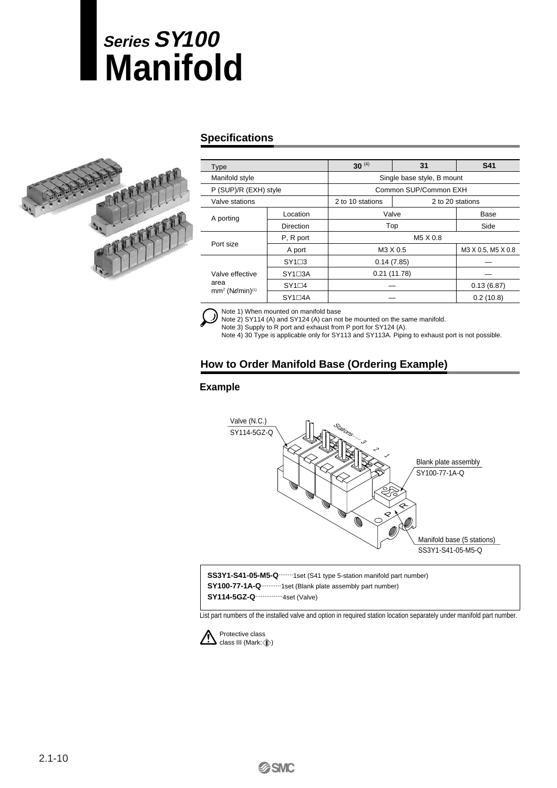# **Manifold Series SY100**

![](_page_9_Picture_1.jpeg)

### **Specifications**

| Type                                                               |                  | $30^{(4)}$                 | <b>S41</b>         |      |  |  |  |  |
|--------------------------------------------------------------------|------------------|----------------------------|--------------------|------|--|--|--|--|
| Manifold style                                                     |                  | Single base style, B mount |                    |      |  |  |  |  |
| P (SUP)/R (EXH) style                                              |                  | Common SUP/Common EXH      |                    |      |  |  |  |  |
| Valve stations                                                     |                  | 2 to 10 stations           | 2 to 20 stations   |      |  |  |  |  |
| A porting                                                          | Location         | Valve                      |                    | Base |  |  |  |  |
|                                                                    | <b>Direction</b> | Top                        | Side               |      |  |  |  |  |
| Port size                                                          | P, R port        |                            | M5 X 0.8           |      |  |  |  |  |
|                                                                    | A port           | M3 X 0.5                   | M3 X 0.5, M5 X 0.8 |      |  |  |  |  |
|                                                                    | $SY1\square 3$   | 0.14(7.85)                 |                    |      |  |  |  |  |
| Valve effective<br>area<br>mm <sup>2</sup> (Ne/min) <sup>(1)</sup> | $SY1 \square 3A$ | 0.21(11.78)                |                    |      |  |  |  |  |
|                                                                    | $SY1\square 4$   |                            | 0.13(6.87)         |      |  |  |  |  |
|                                                                    | $SY1 \square 4A$ |                            | 0.2(10.8)          |      |  |  |  |  |

Note 1) When mounted on manifold base

.)) Note 2) SY114 (A) and SY124 (A) can not be mounted on the same manifold.

Note 3) Supply to R port and exhaust from P port for SY124 (A).

Note 4) 30 Type is applicable only for SY113 and SY113A. Piping to exhaust port is not possible.

### **How to Order Manifold Base (Ordering Example)**

#### **Example**

![](_page_9_Figure_10.jpeg)

**SS3Y1-S41-05-M5-Q**........1set (S41 type 5-station manifold part number) **SY100-77-1A-Q**...........1set (Blank plate assembly part number) **SY114-5GZ-Q**...............4set (Valve)

List part numbers of the installed valve and option in required station location separately under manifold part number.

![](_page_9_Picture_13.jpeg)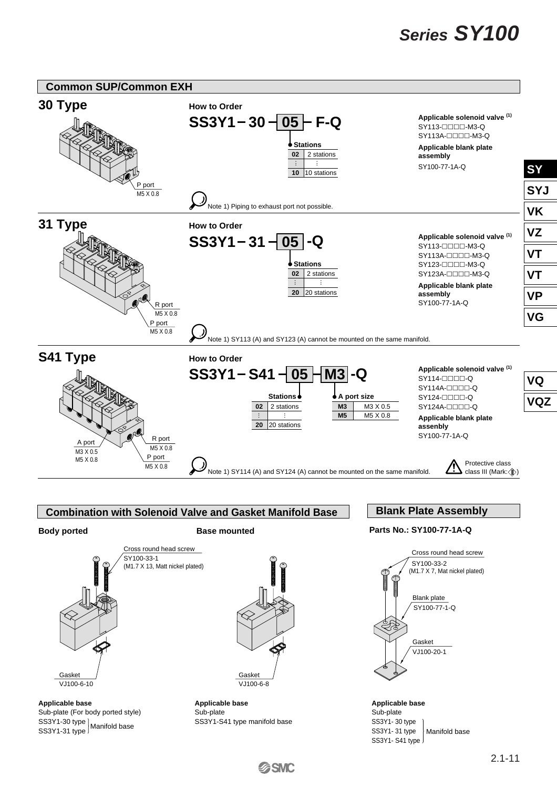![](_page_10_Figure_1.jpeg)

**Applicable base**  Sub-plate (For body ported style) SS3Y1-30 type |<br>SS3Y1-31 type <sup>|</sup> Manifold base

A

VJ100-6-10 Gasket

Gasket

**Applicable base**  VJ100-6-8

Sub-plate SS3Y1-S41 type manifold base

**SSMC** 

Manifold base

SY100-77-1-Q Blank plate

VJ100-20-1 Gasket

**Applicable base** Sub-plate SS3Y1- 30 type SS3Y1- 31 type SS3Y1- S41 type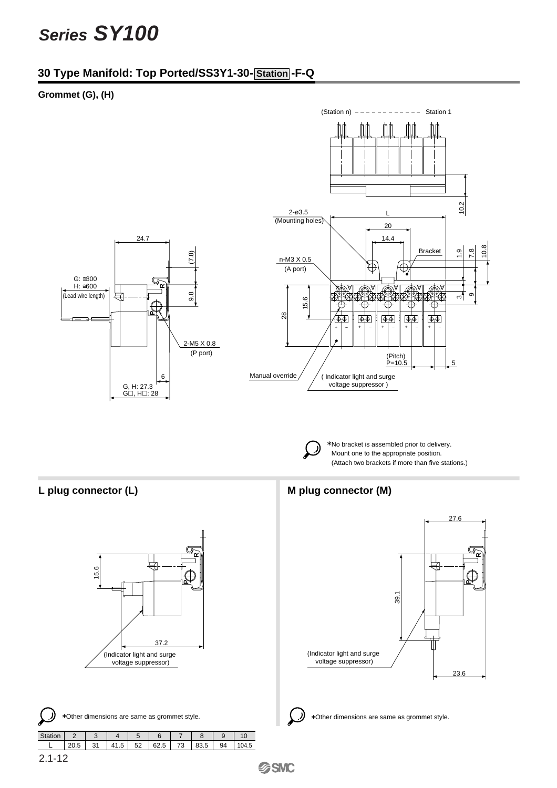### **30 Type Manifold: Top Ported/SS3Y1-30- Station -F-Q**

#### **Grommet (G), (H)**

![](_page_11_Figure_3.jpeg)

\* No bracket is assembled prior to delivery. Mount one to the appropriate position. (Attach two brackets if more than five stations.)

![](_page_11_Figure_7.jpeg)

Other dimensions are same as grommet style. ∗ ∗

| Stati |  |           |    |      |    |      |  |  |
|-------|--|-----------|----|------|----|------|--|--|
|       |  | -<br>41 h | 52 | 62.5 | 72 | 83.5 |  |  |
|       |  |           |    |      |    |      |  |  |

#### L plug connector (L) **M** plug connector (M)

![](_page_11_Figure_11.jpeg)

Other dimensions are same as grommet style.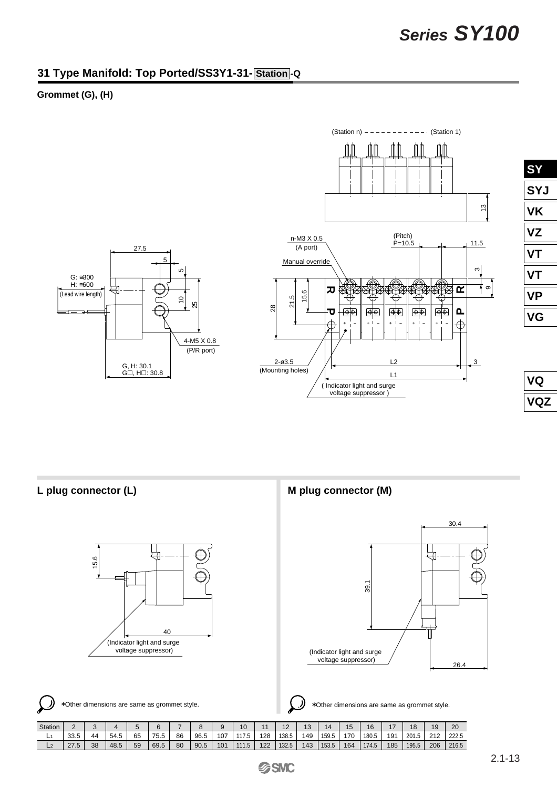### **31 Type Manifold: Top Ported/SS3Y1-31- Station -Q**

#### **Grommet (G), (H)**

![](_page_12_Figure_3.jpeg)

voltage suppressor )

![](_page_12_Figure_4.jpeg)

![](_page_12_Figure_5.jpeg)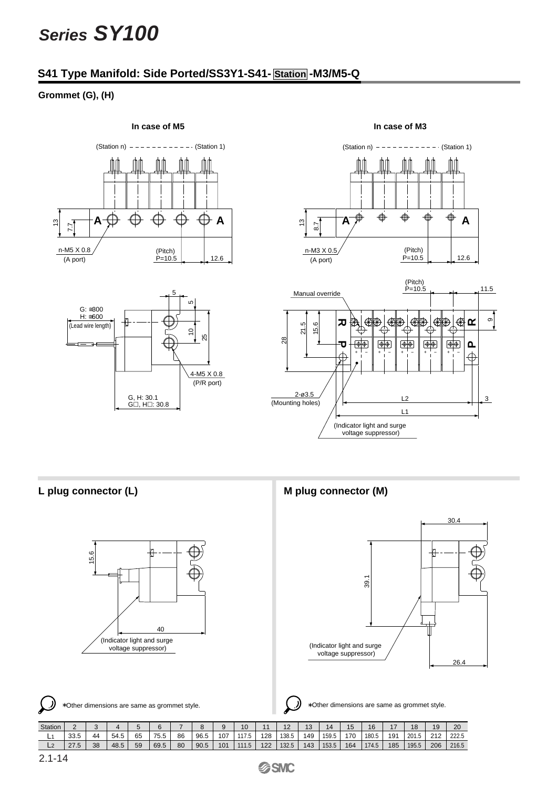### **S41 Type Manifold: Side Ported/SS3Y1-S41- Station -M3/M5-Q**

#### **Grommet (G), (H)**

![](_page_13_Figure_3.jpeg)

#### **In case of M5 In case of M3**

![](_page_13_Figure_5.jpeg)

![](_page_13_Figure_6.jpeg)

![](_page_13_Figure_8.jpeg)

 $G\Box$ ,  $H\Box$ : 30.8

L plug connector (L) **M** plug connector (M)

![](_page_13_Figure_10.jpeg)

Other dimensions are same as grommet style. Other dimensions are same as grommet style. ∗ ∗

| Station | ∼                     |    |      |    |      |    |                | ч   | 10             |     |       | $\overline{\phantom{a}}$<br>د.ا | 14    | 15  | 16    |     | 18    | 19  | 20    |
|---------|-----------------------|----|------|----|------|----|----------------|-----|----------------|-----|-------|---------------------------------|-------|-----|-------|-----|-------|-----|-------|
| . .     | $\sim$ $\sim$<br>აა.ა | 44 | 54.5 | 65 | 75.5 | 86 | 96.5<br>$\sim$ | 07  | 4.47<br>C. I I | 128 | 138.5 | 49                              | 159.5 | 170 | 180.5 | 191 | 201.5 | 242 | 222.5 |
| LZ.     | 27E<br>$\sim$         | 38 | 48.5 | 59 | 69.5 | 80 | 90.5           | 101 | 11.5           | 122 | 132.5 | 143                             | 153.5 | 164 | 174.5 | 185 | 195.5 | 206 | 216.5 |